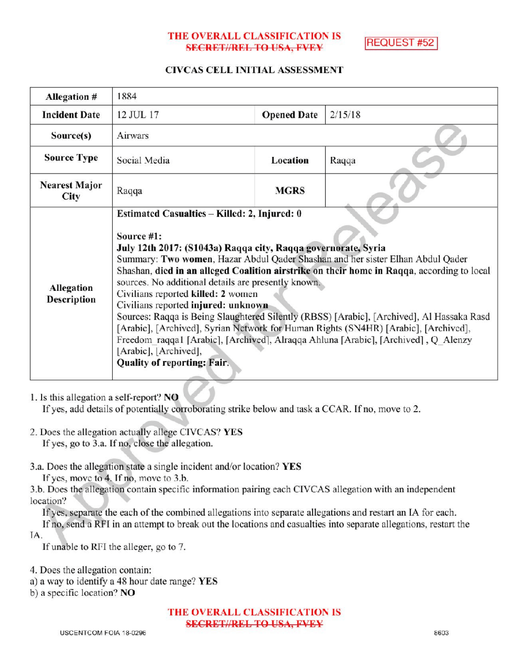# THE OVERALL CLASSIFICATION IS **SECRET//REL TO USA, FVEY**

**REQUEST #52** 

#### CIVCAS CELL INITIAL ASSESSMENT

| Allegation #                 | 1884                                                                                                                                                                                                                                                                                                                                                                                                                                                                                                                                                                                                                                                                                                                                                                                     |                    |         |
|------------------------------|------------------------------------------------------------------------------------------------------------------------------------------------------------------------------------------------------------------------------------------------------------------------------------------------------------------------------------------------------------------------------------------------------------------------------------------------------------------------------------------------------------------------------------------------------------------------------------------------------------------------------------------------------------------------------------------------------------------------------------------------------------------------------------------|--------------------|---------|
| <b>Incident Date</b>         | 12 JUL 17                                                                                                                                                                                                                                                                                                                                                                                                                                                                                                                                                                                                                                                                                                                                                                                | <b>Opened Date</b> | 2/15/18 |
| Source(s)                    | Airwars                                                                                                                                                                                                                                                                                                                                                                                                                                                                                                                                                                                                                                                                                                                                                                                  |                    |         |
| <b>Source Type</b>           | Social Media                                                                                                                                                                                                                                                                                                                                                                                                                                                                                                                                                                                                                                                                                                                                                                             | Location           | Raqqa   |
| <b>Nearest Major</b><br>City | Raqqa                                                                                                                                                                                                                                                                                                                                                                                                                                                                                                                                                                                                                                                                                                                                                                                    | <b>MGRS</b>        |         |
| Allegation<br>Description    | Estimated Casualties - Killed: 2, Injured: 0<br>Source #1:<br>July 12th 2017: (S1043a) Raqqa city, Raqqa governorate, Syria<br>Summary: Two women, Hazar Abdul Qader Shashan and her sister Elhan Abdul Qader<br>Shashan, died in an alleged Coalition airstrike on their home in Raqqa, according to local<br>sources. No additional details are presently known.<br>Civilians reported killed: 2 women<br>Civilians reported injured: unknown<br>Sources: Raqqa is Being Slaughtered Silently (RBSS) [Arabic], [Archived], Al Hassaka Rasd<br>[Arabic], [Archived], Syrian Network for Human Rights (SN4HR) [Arabic], [Archived],<br>Freedom raqqa1 [Arabic], [Archived], Alraqqa Ahluna [Arabic], [Archived], Q Alenzy<br>[Arabic], [Archived],<br><b>Quality of reporting: Fair.</b> |                    |         |

# 1. Is this allegation a self-report? NO

If yes, add details of potentially corroborating strike below and task a CCAR. If no, move to 2.

- 2. Does the allegation actually allege CIVCAS? YES If yes, go to 3.a. If no, close the allegation.
- 3.a. Does the allegation state a single incident and/or location? YES

If yes, move to  $4$ . If no, move to  $3.b$ .

3.b. Does the allegation contain specific information pairing each CIVCAS allegation with an independent location?

Ifyes, separate the each of the combined allegations into separate allegations and restart an IA for each.

If no, send a RFI in an attempt to break out the locations and casualties into separate allegations, restart the IA

If unable to RFI the alleger, go to 7.

4. Does the allegation contain:

a) a way to identify a 48 hour date range? YES

) <sup>a</sup> specific location? NO

THE OVERALL CLASSIFICATION IS SECRET//REL TO USA, FVEY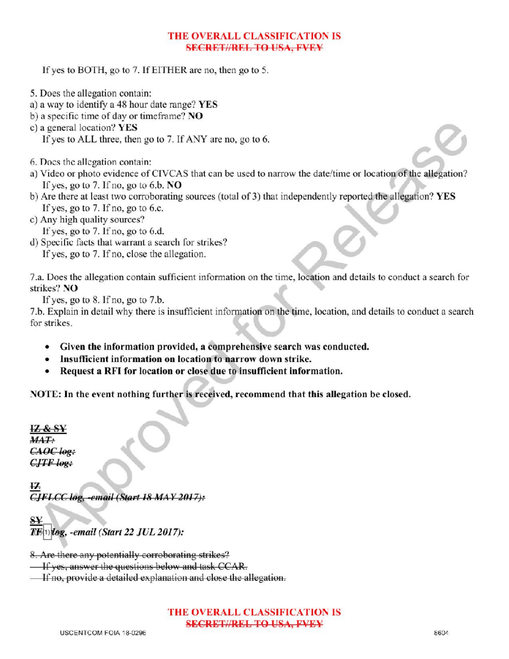# THE OVERALL CLASSIFICATION IS SECRETIAREL TO USA, EVEY

If yes to BOTH, go to 7. If EITHER are no, then go to 5.

- 5. Does the allegation contain:
- a) <sup>a</sup> way to identify a 48 hour date range? YES
- b) a specific time of day or timeframe?  $NO$
- c ) <sup>a</sup> general location? YES If yes to ALL three, then go to 7. If ANY are no, go to 6.
- 6. Does the allegation contain:
- a) Video or photo evidence of CIVCAS that can be used to narrow the date/time or location of the allegation? If yes, go to 7. If no, go to 6.b.  $NO$
- b) Are there at least two corroborating sources (total of 3) that independently reported the allegation? YES If yes, go to  $7.$  If no, go to 6.c.
- c) Any high quality sources?
- If yes, go to  $7.$  If no, go to  $6.d.$
- d) Specific facts that warrant a search for strikes? If yes, go to 7. If no, close the allegation.

7.a. Does the allegation contain sufficient information on the time, location and details to conduct a search for strikes? NO Release and details to conduct a search for

If yes, go to  $8$ . If no, go to  $7.b$ .

7.b. Explain in detail why there is insufficient information on the time, location, and details to conduct a search for strikes

- Given the information provided, a comprehensive search was conducted.
- Insufficient information on location to narrow down strike.
- Request a RFI for location or close due to insufficient information.

NOTE: In the event nothing further is received, recommend that this allegation be closed.

IZ & <sup>S</sup>  $MAT:$ CAOC log:  $CJTF$  log:

 $\overline{12}$  $CIFLCC$  log, -email (Start 18 MAY 2017):

 $T\ddot{E}$ (1)  $\log$ , -email (Start 22 JUL 2017):

8. Are there any potentially corroborating strikes?

**If yes, answer the questions below and task CCAR.** 

If no, provide a detailed explanation and close the allegation.

### THE OVERALL CLASSIFICATION IS SECRET//REL TO USA, FVEY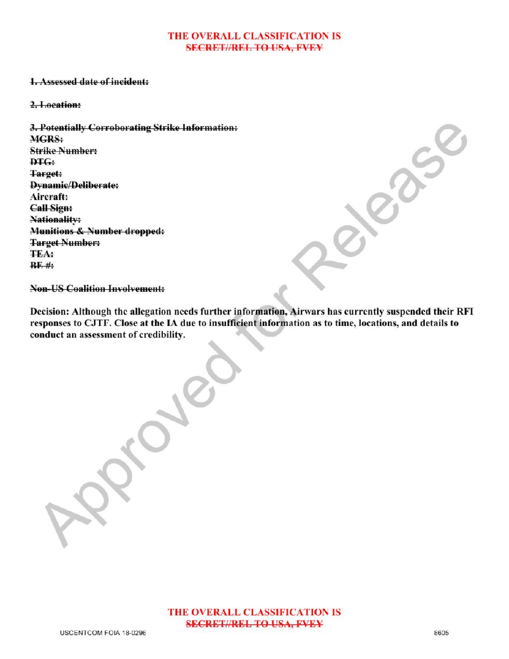#### THE OVERALL CLASSIFICATION IS **SECRET//REL TO USA, FVEY**

### 1.Assessed date of incident:

#### 2.Location:

3.Potentially Corroborating Strike Information: MGRS: **Strike Number:** DTG: Target: Dynamic/Deliberate: Aircraft: Call Sign: Nationality: Munitions & Number dropped: Target Number: TEA:  $BF#$ :

**Non-US Coalition Involvement:** 

Decision: Although the allegation needs further information, Airwars has currently suspended their RFI responses to CJTF. Close at the IA due to insufficient information as to time, locations, and details to conduct an assessment of credibility.

Approved

Release